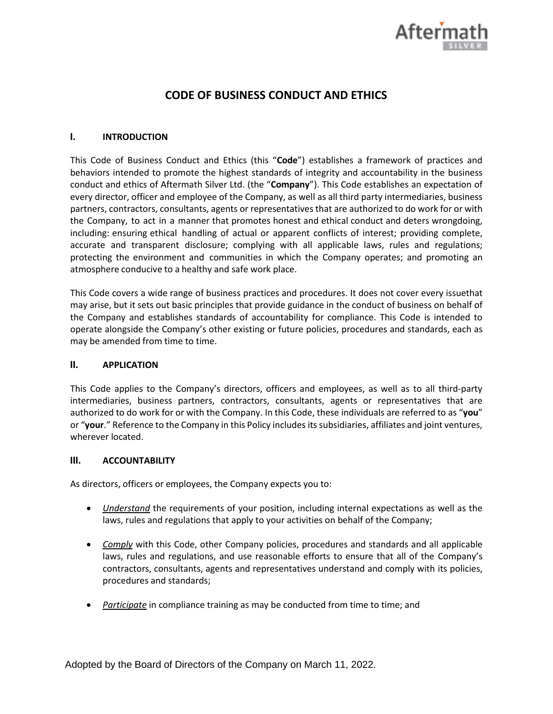

# **CODE OF BUSINESS CONDUCT AND ETHICS**

## **I. INTRODUCTION**

This Code of Business Conduct and Ethics (this "**Code**") establishes a framework of practices and behaviors intended to promote the highest standards of integrity and accountability in the business conduct and ethics of Aftermath Silver Ltd. (the "**Company**"). This Code establishes an expectation of every director, officer and employee of the Company, as well as all third party intermediaries, business partners, contractors, consultants, agents or representatives that are authorized to do work for or with the Company, to act in a manner that promotes honest and ethical conduct and deters wrongdoing, including: ensuring ethical handling of actual or apparent conflicts of interest; providing complete, accurate and transparent disclosure; complying with all applicable laws, rules and regulations; protecting the environment and communities in which the Company operates; and promoting an atmosphere conducive to a healthy and safe work place.

This Code covers a wide range of business practices and procedures. It does not cover every issuethat may arise, but it sets out basic principles that provide guidance in the conduct of business on behalf of the Company and establishes standards of accountability for compliance. This Code is intended to operate alongside the Company's other existing or future policies, procedures and standards, each as may be amended from time to time.

#### **II. APPLICATION**

This Code applies to the Company's directors, officers and employees, as well as to all third-party intermediaries, business partners, contractors, consultants, agents or representatives that are authorized to do work for or with the Company. In this Code, these individuals are referred to as "**you**" or "**your**." Reference to the Company in this Policy includes itssubsidiaries, affiliates and joint ventures, wherever located.

#### **III. ACCOUNTABILITY**

As directors, officers or employees, the Company expects you to:

- *Understand* the requirements of your position, including internal expectations as well as the laws, rules and regulations that apply to your activities on behalf of the Company;
- *Comply* with this Code, other Company policies, procedures and standards and all applicable laws, rules and regulations, and use reasonable efforts to ensure that all of the Company's contractors, consultants, agents and representatives understand and comply with its policies, procedures and standards;
- *Participate* in compliance training as may be conducted from time to time; and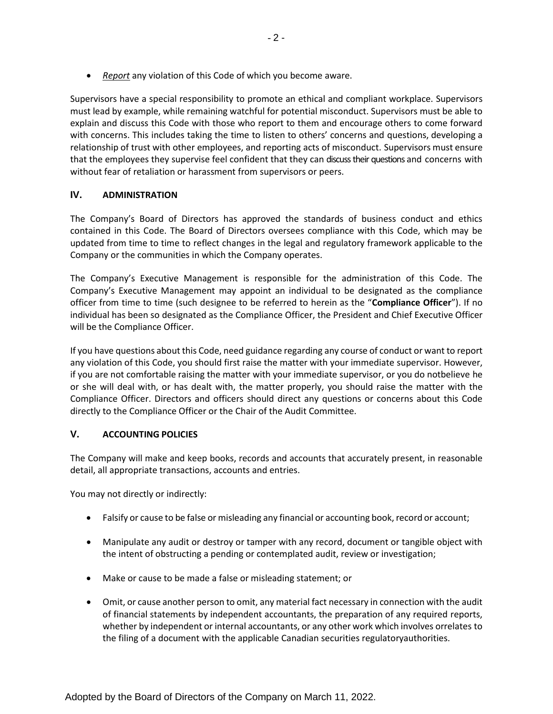• *Report* any violation of this Code of which you become aware.

Supervisors have a special responsibility to promote an ethical and compliant workplace. Supervisors must lead by example, while remaining watchful for potential misconduct. Supervisors must be able to explain and discuss this Code with those who report to them and encourage others to come forward with concerns. This includes taking the time to listen to others' concerns and questions, developing a relationship of trust with other employees, and reporting acts of misconduct. Supervisors must ensure that the employees they supervise feel confident that they can discuss their questions and concerns with without fear of retaliation or harassment from supervisors or peers.

## **IV. ADMINISTRATION**

The Company's Board of Directors has approved the standards of business conduct and ethics contained in this Code. The Board of Directors oversees compliance with this Code, which may be updated from time to time to reflect changes in the legal and regulatory framework applicable to the Company or the communities in which the Company operates.

The Company's Executive Management is responsible for the administration of this Code. The Company's Executive Management may appoint an individual to be designated as the compliance officer from time to time (such designee to be referred to herein as the "**Compliance Officer**"). If no individual has been so designated as the Compliance Officer, the President and Chief Executive Officer will be the Compliance Officer.

If you have questions about this Code, need guidance regarding any course of conduct or want to report any violation of this Code, you should first raise the matter with your immediate supervisor. However, if you are not comfortable raising the matter with your immediate supervisor, or you do notbelieve he or she will deal with, or has dealt with, the matter properly, you should raise the matter with the Compliance Officer. Directors and officers should direct any questions or concerns about this Code directly to the Compliance Officer or the Chair of the Audit Committee.

#### **V. ACCOUNTING POLICIES**

The Company will make and keep books, records and accounts that accurately present, in reasonable detail, all appropriate transactions, accounts and entries.

You may not directly or indirectly:

- Falsify or cause to be false or misleading any financial or accounting book, record or account;
- Manipulate any audit or destroy or tamper with any record, document or tangible object with the intent of obstructing a pending or contemplated audit, review or investigation;
- Make or cause to be made a false or misleading statement; or
- Omit, or cause another person to omit, any material fact necessary in connection with the audit of financial statements by independent accountants, the preparation of any required reports, whether by independent or internal accountants, or any other work which involves orrelates to the filing of a document with the applicable Canadian securities regulatoryauthorities.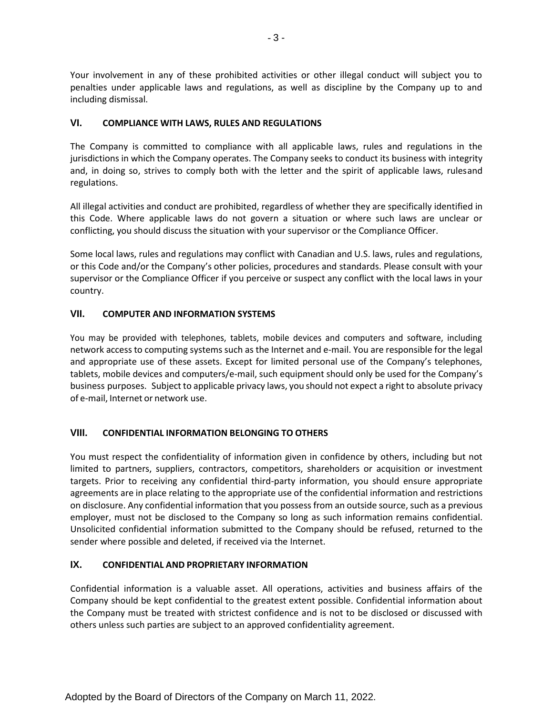Your involvement in any of these prohibited activities or other illegal conduct will subject you to penalties under applicable laws and regulations, as well as discipline by the Company up to and including dismissal.

#### **VI. COMPLIANCE WITH LAWS, RULES AND REGULATIONS**

The Company is committed to compliance with all applicable laws, rules and regulations in the jurisdictions in which the Company operates. The Company seeks to conduct its business with integrity and, in doing so, strives to comply both with the letter and the spirit of applicable laws, rulesand regulations.

All illegal activities and conduct are prohibited, regardless of whether they are specifically identified in this Code. Where applicable laws do not govern a situation or where such laws are unclear or conflicting, you should discuss the situation with your supervisor or the Compliance Officer.

Some local laws, rules and regulations may conflict with Canadian and U.S. laws, rules and regulations, or this Code and/or the Company's other policies, procedures and standards. Please consult with your supervisor or the Compliance Officer if you perceive or suspect any conflict with the local laws in your country.

# **VII. COMPUTER AND INFORMATION SYSTEMS**

You may be provided with telephones, tablets, mobile devices and computers and software, including network access to computing systems such as the Internet and e-mail. You are responsible for the legal and appropriate use of these assets. Except for limited personal use of the Company's telephones, tablets, mobile devices and computers/e-mail, such equipment should only be used for the Company's business purposes. Subject to applicable privacy laws, you should not expect a right to absolute privacy of e-mail, Internet or network use.

#### **VIII. CONFIDENTIAL INFORMATION BELONGING TO OTHERS**

You must respect the confidentiality of information given in confidence by others, including but not limited to partners, suppliers, contractors, competitors, shareholders or acquisition or investment targets. Prior to receiving any confidential third-party information, you should ensure appropriate agreements are in place relating to the appropriate use of the confidential information and restrictions on disclosure. Any confidential information that you possess from an outside source, such as a previous employer, must not be disclosed to the Company so long as such information remains confidential. Unsolicited confidential information submitted to the Company should be refused, returned to the sender where possible and deleted, if received via the Internet.

# **IX. CONFIDENTIAL AND PROPRIETARY INFORMATION**

Confidential information is a valuable asset. All operations, activities and business affairs of the Company should be kept confidential to the greatest extent possible. Confidential information about the Company must be treated with strictest confidence and is not to be disclosed or discussed with others unless such parties are subject to an approved confidentiality agreement.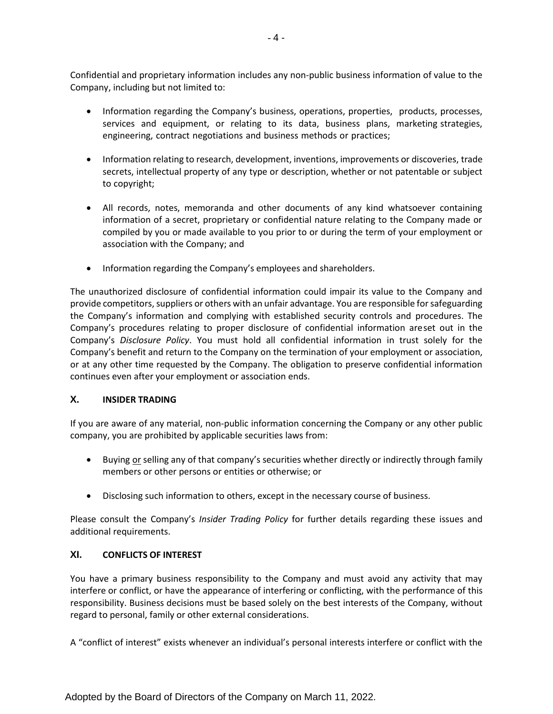Confidential and proprietary information includes any non-public business information of value to the Company, including but not limited to:

- Information regarding the Company's business, operations, properties, products, processes, services and equipment, or relating to its data, business plans, marketing strategies, engineering, contract negotiations and business methods or practices;
- Information relating to research, development, inventions, improvements or discoveries, trade secrets, intellectual property of any type or description, whether or not patentable or subject to copyright;
- All records, notes, memoranda and other documents of any kind whatsoever containing information of a secret, proprietary or confidential nature relating to the Company made or compiled by you or made available to you prior to or during the term of your employment or association with the Company; and
- Information regarding the Company's employees and shareholders.

The unauthorized disclosure of confidential information could impair its value to the Company and provide competitors,suppliers or others with an unfair advantage. You are responsible forsafeguarding the Company's information and complying with established security controls and procedures. The Company's procedures relating to proper disclosure of confidential information areset out in the Company's *Disclosure Policy*. You must hold all confidential information in trust solely for the Company's benefit and return to the Company on the termination of your employment or association, or at any other time requested by the Company. The obligation to preserve confidential information continues even after your employment or association ends.

#### **X. INSIDER TRADING**

If you are aware of any material, non-public information concerning the Company or any other public company, you are prohibited by applicable securities laws from:

- Buying or selling any of that company's securities whether directly or indirectly through family members or other persons or entities or otherwise; or
- Disclosing such information to others, except in the necessary course of business.

Please consult the Company's *Insider Trading Policy* for further details regarding these issues and additional requirements.

#### **XI. CONFLICTS OF INTEREST**

You have a primary business responsibility to the Company and must avoid any activity that may interfere or conflict, or have the appearance of interfering or conflicting, with the performance of this responsibility. Business decisions must be based solely on the best interests of the Company, without regard to personal, family or other external considerations.

A "conflict of interest" exists whenever an individual's personal interests interfere or conflict with the

Adopted by the Board of Directors of the Company on March 11, 2022.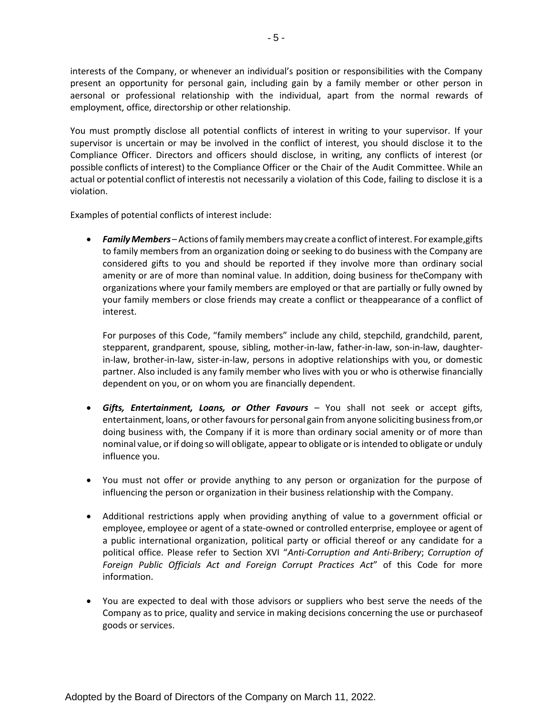interests of the Company, or whenever an individual's position or responsibilities with the Company present an opportunity for personal gain, including gain by a family member or other person in aersonal or professional relationship with the individual, apart from the normal rewards of employment, office, directorship or other relationship.

You must promptly disclose all potential conflicts of interest in writing to your supervisor. If your supervisor is uncertain or may be involved in the conflict of interest, you should disclose it to the Compliance Officer. Directors and officers should disclose, in writing, any conflicts of interest (or possible conflicts of interest) to the Compliance Officer or the Chair of the Audit Committee. While an actual or potential conflict of interestis not necessarily a violation of this Code, failing to disclose it is a violation.

Examples of potential conflicts of interest include:

• *FamilyMembers* –Actions offamilymembersmay create a conflict ofinterest. For example,gifts to family members from an organization doing or seeking to do business with the Company are considered gifts to you and should be reported if they involve more than ordinary social amenity or are of more than nominal value. In addition, doing business for theCompany with organizations where your family members are employed or that are partially or fully owned by your family members or close friends may create a conflict or theappearance of a conflict of interest.

For purposes of this Code, "family members" include any child, stepchild, grandchild, parent, stepparent, grandparent, spouse, sibling, mother-in-law, father-in-law, son-in-law, daughterin-law, brother-in-law, sister-in-law, persons in adoptive relationships with you, or domestic partner. Also included is any family member who lives with you or who is otherwise financially dependent on you, or on whom you are financially dependent.

- *Gifts, Entertainment, Loans, or Other Favours*  You shall not seek or accept gifts, entertainment, loans, or other favours for personal gain from anyone soliciting business from, or doing business with, the Company if it is more than ordinary social amenity or of more than nominal value, or if doing so will obligate, appear to obligate or is intended to obligate or unduly influence you.
- You must not offer or provide anything to any person or organization for the purpose of influencing the person or organization in their business relationship with the Company.
- Additional restrictions apply when providing anything of value to a government official or employee, employee or agent of a state-owned or controlled enterprise, employee or agent of a public international organization, political party or official thereof or any candidate for a political office. Please refer to Section XVI "*Anti-Corruption and Anti-Bribery*; *Corruption of Foreign Public Officials Act and Foreign Corrupt Practices Act*" of this Code for more information.
- You are expected to deal with those advisors or suppliers who best serve the needs of the Company as to price, quality and service in making decisions concerning the use or purchaseof goods or services.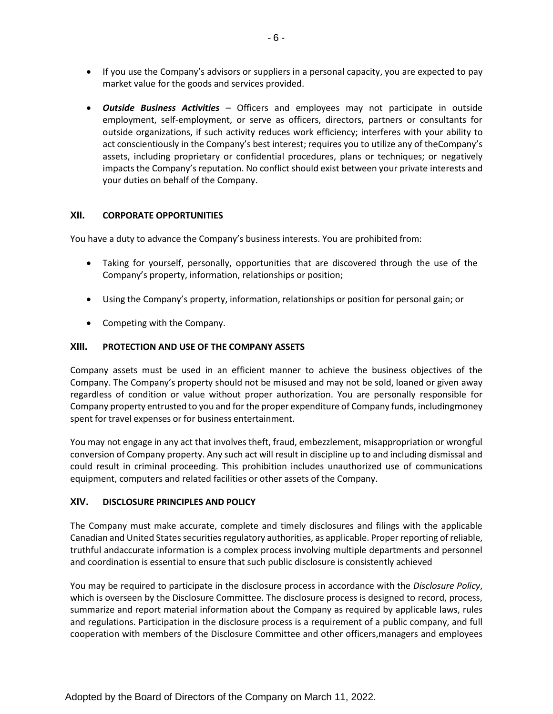- If you use the Company's advisors or suppliers in a personal capacity, you are expected to pay market value for the goods and services provided.
- *Outside Business Activities*  Officers and employees may not participate in outside employment, self-employment, or serve as officers, directors, partners or consultants for outside organizations, if such activity reduces work efficiency; interferes with your ability to act conscientiously in the Company's best interest; requires you to utilize any of theCompany's assets, including proprietary or confidential procedures, plans or techniques; or negatively impacts the Company's reputation. No conflict should exist between your private interests and your duties on behalf of the Company.

#### **XII. CORPORATE OPPORTUNITIES**

You have a duty to advance the Company's business interests. You are prohibited from:

- Taking for yourself, personally, opportunities that are discovered through the use of the Company's property, information, relationships or position;
- Using the Company's property, information, relationships or position for personal gain; or
- Competing with the Company.

#### **XIII. PROTECTION AND USE OF THE COMPANY ASSETS**

Company assets must be used in an efficient manner to achieve the business objectives of the Company. The Company's property should not be misused and may not be sold, loaned or given away regardless of condition or value without proper authorization. You are personally responsible for Company property entrusted to you and for the proper expenditure of Company funds, includingmoney spent for travel expenses or for business entertainment.

You may not engage in any act that involves theft, fraud, embezzlement, misappropriation or wrongful conversion of Company property. Any such act will result in discipline up to and including dismissal and could result in criminal proceeding. This prohibition includes unauthorized use of communications equipment, computers and related facilities or other assets of the Company.

# **XIV. DISCLOSURE PRINCIPLES AND POLICY**

The Company must make accurate, complete and timely disclosures and filings with the applicable Canadian and United States securities regulatory authorities, as applicable. Proper reporting of reliable, truthful andaccurate information is a complex process involving multiple departments and personnel and coordination is essential to ensure that such public disclosure is consistently achieved

You may be required to participate in the disclosure process in accordance with the *Disclosure Policy*, which is overseen by the Disclosure Committee. The disclosure process is designed to record, process, summarize and report material information about the Company as required by applicable laws, rules and regulations. Participation in the disclosure process is a requirement of a public company, and full cooperation with members of the Disclosure Committee and other officers,managers and employees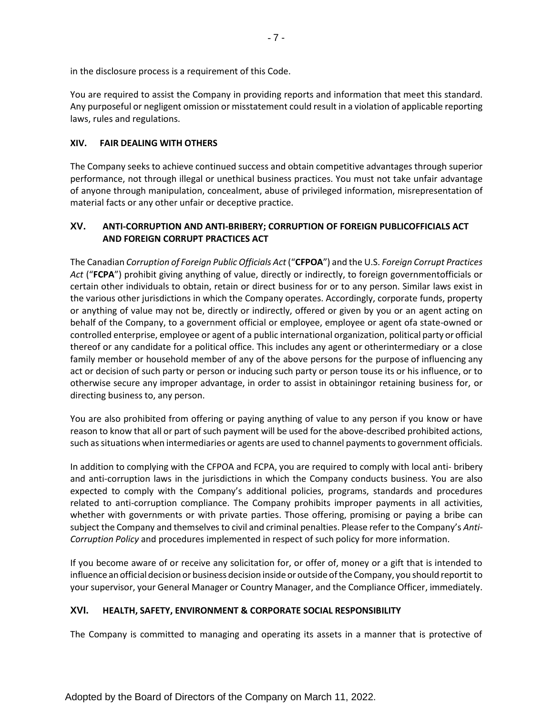in the disclosure process is a requirement of this Code.

You are required to assist the Company in providing reports and information that meet this standard. Any purposeful or negligent omission or misstatement could result in a violation of applicable reporting laws, rules and regulations.

#### **XIV. FAIR DEALING WITH OTHERS**

The Company seeks to achieve continued success and obtain competitive advantages through superior performance, not through illegal or unethical business practices. You must not take unfair advantage of anyone through manipulation, concealment, abuse of privileged information, misrepresentation of material facts or any other unfair or deceptive practice.

## **XV. ANTI-CORRUPTION AND ANTI-BRIBERY; CORRUPTION OF FOREIGN PUBLICOFFICIALS ACT AND FOREIGN CORRUPT PRACTICES ACT**

The Canadian *Corruption of Foreign Public Officials Act* ("**CFPOA**") and the U.S. *Foreign Corrupt Practices Act* ("**FCPA**") prohibit giving anything of value, directly or indirectly, to foreign governmentofficials or certain other individuals to obtain, retain or direct business for or to any person. Similar laws exist in the various other jurisdictions in which the Company operates. Accordingly, corporate funds, property or anything of value may not be, directly or indirectly, offered or given by you or an agent acting on behalf of the Company, to a government official or employee, employee or agent ofa state-owned or controlled enterprise, employee or agent of a public international organization, political party or official thereof or any candidate for a political office. This includes any agent or otherintermediary or a close family member or household member of any of the above persons for the purpose of influencing any act or decision of such party or person or inducing such party or person touse its or his influence, or to otherwise secure any improper advantage, in order to assist in obtainingor retaining business for, or directing business to, any person.

You are also prohibited from offering or paying anything of value to any person if you know or have reason to know that all or part of such payment will be used for the above-described prohibited actions, such as situations when intermediaries or agents are used to channel payments to government officials.

In addition to complying with the CFPOA and FCPA, you are required to comply with local anti- bribery and anti-corruption laws in the jurisdictions in which the Company conducts business. You are also expected to comply with the Company's additional policies, programs, standards and procedures related to anti-corruption compliance. The Company prohibits improper payments in all activities, whether with governments or with private parties. Those offering, promising or paying a bribe can subject the Company and themselves to civil and criminal penalties. Please refer to the Company's *Anti-Corruption Policy* and procedures implemented in respect of such policy for more information.

If you become aware of or receive any solicitation for, or offer of, money or a gift that is intended to influence an official decision or business decision inside or outside of the Company, you should reportit to your supervisor, your General Manager or Country Manager, and the Compliance Officer, immediately.

#### **XVI. HEALTH, SAFETY, ENVIRONMENT & CORPORATE SOCIAL RESPONSIBILITY**

The Company is committed to managing and operating its assets in a manner that is protective of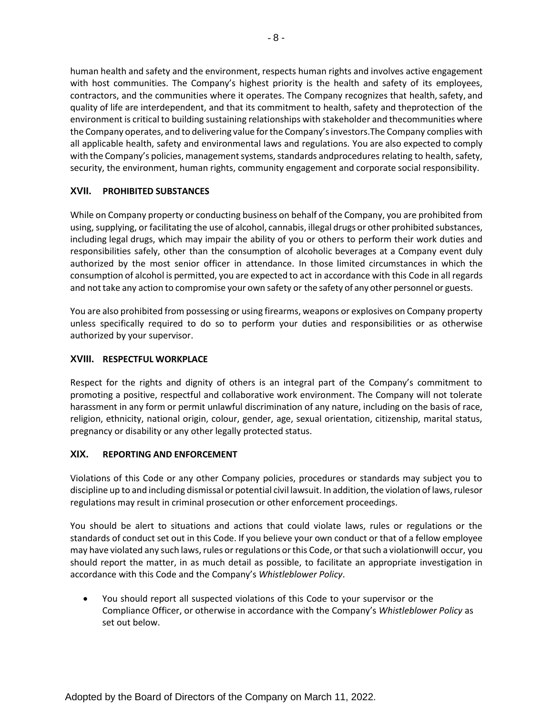human health and safety and the environment, respects human rights and involves active engagement with host communities. The Company's highest priority is the health and safety of its employees, contractors, and the communities where it operates. The Company recognizes that health, safety, and quality of life are interdependent, and that its commitment to health, safety and theprotection of the environment is critical to building sustaining relationships with stakeholder and thecommunities where the Company operates, and to delivering value forthe Company'sinvestors.The Company complies with all applicable health, safety and environmental laws and regulations. You are also expected to comply with the Company's policies, management systems, standards andprocedures relating to health, safety, security, the environment, human rights, community engagement and corporate social responsibility.

## **XVII. PROHIBITED SUBSTANCES**

While on Company property or conducting business on behalf of the Company, you are prohibited from using, supplying, or facilitating the use of alcohol, cannabis, illegal drugs or other prohibited substances, including legal drugs, which may impair the ability of you or others to perform their work duties and responsibilities safely, other than the consumption of alcoholic beverages at a Company event duly authorized by the most senior officer in attendance. In those limited circumstances in which the consumption of alcohol is permitted, you are expected to act in accordance with this Code in all regards and not take any action to compromise your own safety or the safety of any other personnel or guests.

You are also prohibited from possessing or using firearms, weapons or explosives on Company property unless specifically required to do so to perform your duties and responsibilities or as otherwise authorized by your supervisor.

# **XVIII. RESPECTFUL WORKPLACE**

Respect for the rights and dignity of others is an integral part of the Company's commitment to promoting a positive, respectful and collaborative work environment. The Company will not tolerate harassment in any form or permit unlawful discrimination of any nature, including on the basis of race, religion, ethnicity, national origin, colour, gender, age, sexual orientation, citizenship, marital status, pregnancy or disability or any other legally protected status.

#### **XIX. REPORTING AND ENFORCEMENT**

Violations of this Code or any other Company policies, procedures or standards may subject you to discipline up to and including dismissal or potential civil lawsuit. In addition, the violation of laws, rulesor regulations may result in criminal prosecution or other enforcement proceedings.

You should be alert to situations and actions that could violate laws, rules or regulations or the standards of conduct set out in this Code. If you believe your own conduct or that of a fellow employee may have violated any such laws, rules or regulations or this Code, or that such a violationwill occur, you should report the matter, in as much detail as possible, to facilitate an appropriate investigation in accordance with this Code and the Company's *Whistleblower Policy*.

• You should report all suspected violations of this Code to your supervisor or the Compliance Officer, or otherwise in accordance with the Company's *Whistleblower Policy* as set out below.